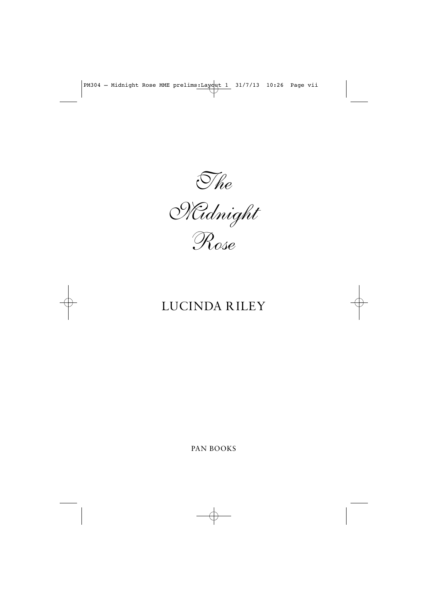

*Midnight*

*Rose*

# LUCINDA RILEY

PAN BOOKS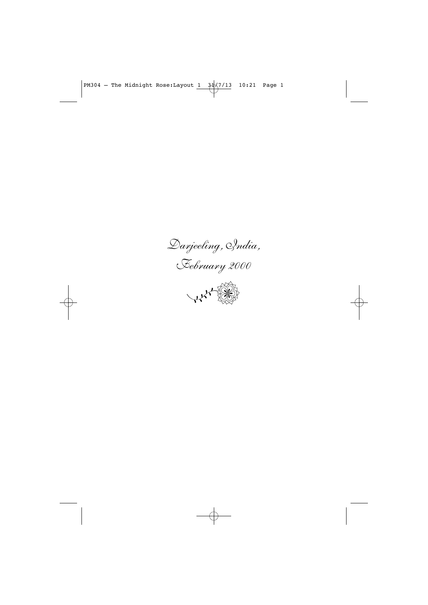*Darjeeling, India, February 2000*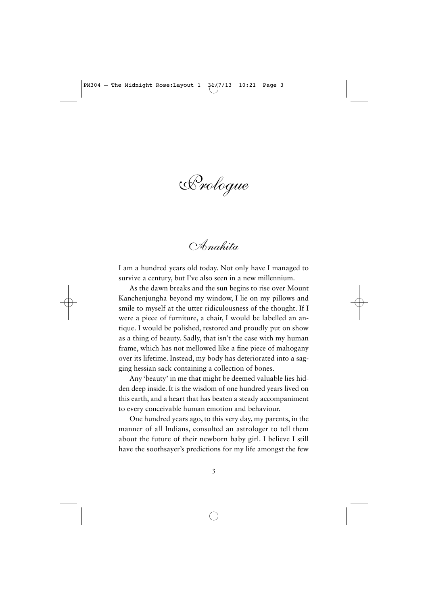*Prologue*

*Anahita*

I am a hundred years old today. Not only have I managed to survive a century, but I've also seen in a new millennium.

As the dawn breaks and the sun begins to rise over Mount Kanchenjungha beyond my window, I lie on my pillows and smile to myself at the utter ridiculousness of the thought. If I were a piece of furniture, a chair, I would be labelled an antique. I would be polished, restored and proudly put on show as a thing of beauty. Sadly, that isn't the case with my human frame, which has not mellowed like a fine piece of mahogany over its lifetime. Instead, my body has deteriorated into a sagging hessian sack containing a collection of bones.

Any 'beauty' in me that might be deemed valuable lies hidden deep inside. It is the wisdom of one hundred years lived on this earth, and a heart that has beaten a steady accompaniment to every conceivable human emotion and behaviour.

One hundred years ago, to this very day, my parents, in the manner of all Indians, consulted an astrologer to tell them about the future of their newborn baby girl. I believe I still have the soothsayer's predictions for my life amongst the few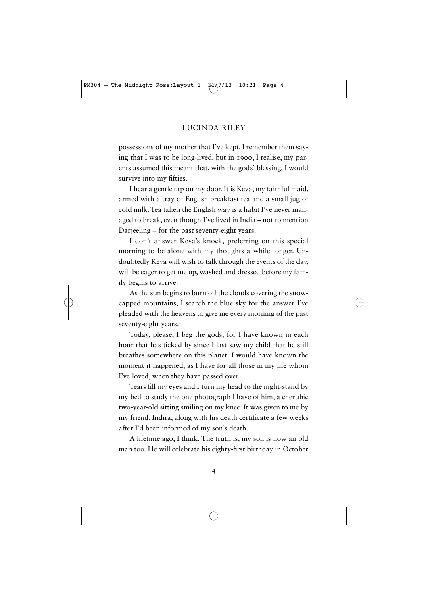possessions of my mother that I've kept. I remember them saying that I was to be long-lived, but in 1900, I realise, my parents assumed this meant that, with the gods' blessing, I would survive into my fifties.

I hear a gentle tap on my door. It is Keva, my faithful maid, armed with a tray of English breakfast tea and a small jug of cold milk. Tea taken the English way is a habit I've never managed to break, even though I've lived in India – not to mention Darjeeling – for the past seventy-eight years.

I don't answer Keva's knock, preferring on this special morning to be alone with my thoughts a while longer. Undoubtedly Keva will wish to talk through the events of the day, will be eager to get me up, washed and dressed before my family begins to arrive.

As the sun begins to burn off the clouds covering the snowcapped mountains, I search the blue sky for the answer I've pleaded with the heavens to give me every morning of the past seventy-eight years.

Today, please, I beg the gods, for I have known in each hour that has ticked by since I last saw my child that he still breathes somewhere on this planet. I would have known the moment it happened, as I have for all those in my life whom I've loved, when they have passed over.

Tears fill my eyes and I turn my head to the night-stand by my bed to study the one photograph I have of him, a cherubic two-year-old sitting smiling on my knee. It was given to me by my friend, Indira, along with his death certificate a few weeks after I'd been informed of my son's death.

A lifetime ago, I think. The truth is, my son is now an old man too. He will celebrate his eighty-first birthday in October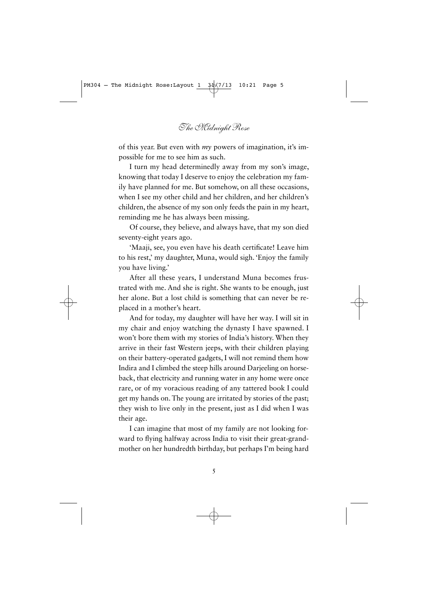of this year. But even with *my* powers of imagination, it's impossible for me to see him as such.

I turn my head determinedly away from my son's image, knowing that today I deserve to enjoy the celebration my family have planned for me. But somehow, on all these occasions, when I see my other child and her children, and her children's children, the absence of my son only feeds the pain in my heart, reminding me he has always been missing.

Of course, they believe, and always have, that my son died seventy-eight years ago.

'Maaji, see, you even have his death certificate! Leave him to his rest,' my daughter, Muna, would sigh. 'Enjoy the family you have living.'

After all these years, I understand Muna becomes frustrated with me. And she is right. She wants to be enough, just her alone. But a lost child is something that can never be replaced in a mother's heart.

And for today, my daughter will have her way. I will sit in my chair and enjoy watching the dynasty I have spawned. I won't bore them with my stories of India's history. When they arrive in their fast Western jeeps, with their children playing on their battery-operated gadgets, I will not remind them how Indira and I climbed the steep hills around Darjeeling on horseback, that electricity and running water in any home were once rare, or of my voracious reading of any tattered book I could get my hands on. The young are irritated by stories of the past; they wish to live only in the present, just as I did when I was their age.

I can imagine that most of my family are not looking forward to flying halfway across India to visit their great-grandmother on her hundredth birthday, but perhaps I'm being hard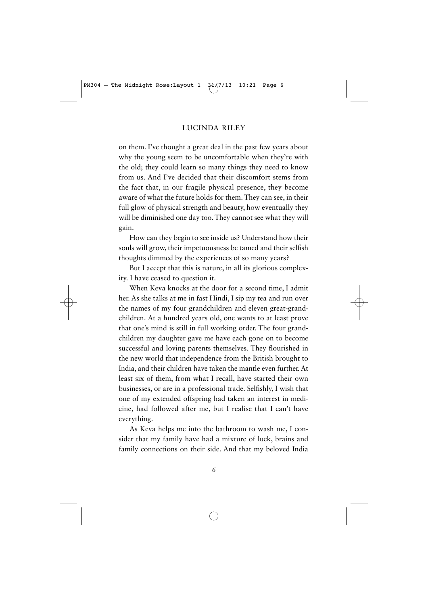on them. I've thought a great deal in the past few years about why the young seem to be uncomfortable when they're with the old; they could learn so many things they need to know from us. And I've decided that their discomfort stems from the fact that, in our fragile physical presence, they become aware of what the future holds for them. They can see, in their full glow of physical strength and beauty, how eventually they will be diminished one day too. They cannot see what they will gain.

How can they begin to see inside us? Understand how their souls will grow, their impetuousness be tamed and their selfish thoughts dimmed by the experiences of so many years?

But I accept that this is nature, in all its glorious complexity. I have ceased to question it.

When Keva knocks at the door for a second time, I admit her. As she talks at me in fast Hindi, I sip my tea and run over the names of my four grandchildren and eleven great-grandchildren. At a hundred years old, one wants to at least prove that one's mind is still in full working order. The four grandchildren my daughter gave me have each gone on to become successful and loving parents themselves. They flourished in the new world that independence from the British brought to India, and their children have taken the mantle even further. At least six of them, from what I recall, have started their own businesses, or are in a professional trade. Selfishly, I wish that one of my extended offspring had taken an interest in medicine, had followed after me, but I realise that I can't have everything.

As Keva helps me into the bathroom to wash me, I consider that my family have had a mixture of luck, brains and family connections on their side. And that my beloved India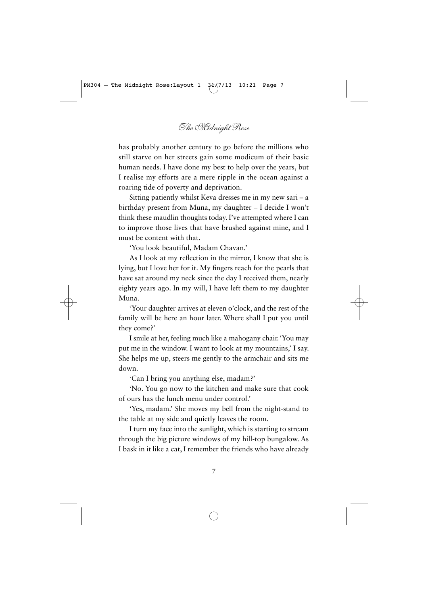has probably another century to go before the millions who still starve on her streets gain some modicum of their basic human needs. I have done my best to help over the years, but I realise my efforts are a mere ripple in the ocean against a roaring tide of poverty and deprivation.

Sitting patiently whilst Keva dresses me in my new sari – a birthday present from Muna, my daughter – I decide I won't think these maudlin thoughts today. I've attempted where I can to improve those lives that have brushed against mine, and I must be content with that.

'You look beautiful, Madam Chavan.'

As I look at my reflection in the mirror, I know that she is lying, but I love her for it. My fingers reach for the pearls that have sat around my neck since the day I received them, nearly eighty years ago. In my will, I have left them to my daughter Muna.

'Your daughter arrives at eleven o'clock, and the rest of the family will be here an hour later. Where shall I put you until they come?'

I smile at her, feeling much like a mahogany chair. 'You may put me in the window. I want to look at my mountains,' I say. She helps me up, steers me gently to the armchair and sits me down.

'Can I bring you anything else, madam?'

'No. You go now to the kitchen and make sure that cook of ours has the lunch menu under control.'

'Yes, madam.' She moves my bell from the night-stand to the table at my side and quietly leaves the room.

I turn my face into the sunlight, which is starting to stream through the big picture windows of my hill-top bungalow. As I bask in it like a cat, I remember the friends who have already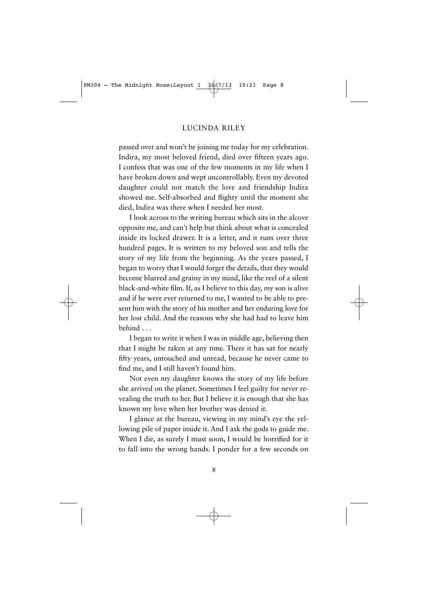#### LUCINDA RILEY

passed over and won't be joining me today for my celebration. Indira, my most beloved friend, died over fifteen years ago. I confess that was one of the few moments in my life when I have broken down and wept uncontrollably. Even my devoted daughter could not match the love and friendship Indira showed me. Self-absorbed and flighty until the moment she died, Indira was there when I needed her most.

I look across to the writing bureau which sits in the alcove opposite me, and can't help but think about what is concealed inside its locked drawer. It is a letter, and it runs over three hundred pages. It is written to my beloved son and tells the story of my life from the beginning. As the years passed, I began to worry that I would forget the details, that they would become blurred and grainy in my mind, like the reel of a silent black-and-white film. If, as I believe to this day, my son is alive and if he were ever returned to me, I wanted to be able to present him with the story of his mother and her enduring love for her lost child. And the reasons why she had had to leave him behind . . .

I began to write it when I was in middle age, believing then that I might be taken at any time. There it has sat for nearly fifty years, untouched and unread, because he never came to find me, and I still haven't found him.

Not even my daughter knows the story of my life before she arrived on the planet. Sometimes I feel guilty for never revealing the truth to her. But I believe it is enough that she has known my love when her brother was denied it.

I glance at the bureau, viewing in my mind's eye the yellowing pile of paper inside it. And I ask the gods to guide me. When I die, as surely I must soon, I would be horrified for it to fall into the wrong hands. I ponder for a few seconds on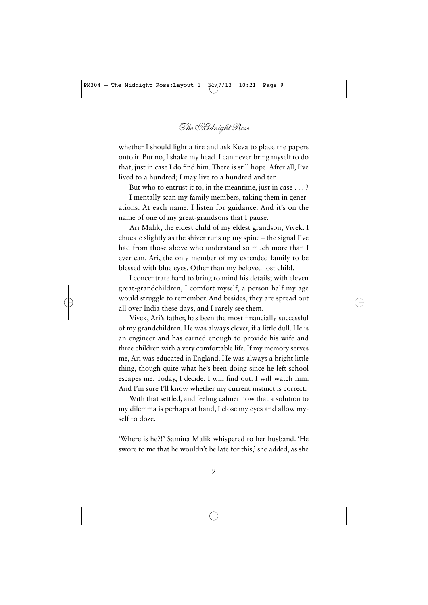whether I should light a fire and ask Keva to place the papers onto it. But no, I shake my head. I can never bring myself to do that, just in case I do find him. There is still hope. After all, I've lived to a hundred; I may live to a hundred and ten.

But who to entrust it to, in the meantime, just in case . . . ?

I mentally scan my family members, taking them in generations. At each name, I listen for guidance. And it's on the name of one of my great-grandsons that I pause.

Ari Malik, the eldest child of my eldest grandson, Vivek. I chuckle slightly as the shiver runs up my spine – the signal I've had from those above who understand so much more than I ever can. Ari, the only member of my extended family to be blessed with blue eyes. Other than my beloved lost child.

I concentrate hard to bring to mind his details; with eleven great-grandchildren, I comfort myself, a person half my age would struggle to remember. And besides, they are spread out all over India these days, and I rarely see them.

Vivek, Ari's father, has been the most financially successful of my grandchildren. He was always clever, if a little dull. He is an engineer and has earned enough to provide his wife and three children with a very comfortable life. If my memory serves me, Ari was educated in England. He was always a bright little thing, though quite what he's been doing since he left school escapes me. Today, I decide, I will find out. I will watch him. And I'm sure I'll know whether my current instinct is correct.

With that settled, and feeling calmer now that a solution to my dilemma is perhaps at hand, I close my eyes and allow myself to doze.

'Where is he?!' Samina Malik whispered to her husband. 'He swore to me that he wouldn't be late for this,' she added, as she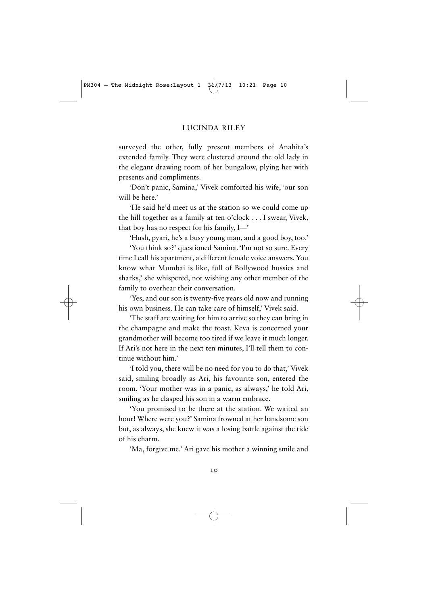surveyed the other, fully present members of Anahita's extended family. They were clustered around the old lady in the elegant drawing room of her bungalow, plying her with presents and compliments.

'Don't panic, Samina,' Vivek comforted his wife, 'our son will be here.'

'He said he'd meet us at the station so we could come up the hill together as a family at ten o'clock . . . I swear, Vivek, that boy has no respect for his family, I—'

'Hush, pyari, he's a busy young man, and a good boy, too.'

'You think so?' questioned Samina. 'I'm not so sure. Every time I call his apartment, a different female voice answers. You know what Mumbai is like, full of Bollywood hussies and sharks,' she whispered, not wishing any other member of the family to overhear their conversation.

'Yes, and our son is twenty-five years old now and running his own business. He can take care of himself,' Vivek said.

'The staff are waiting for him to arrive so they can bring in the champagne and make the toast. Keva is concerned your grandmother will become too tired if we leave it much longer. If Ari's not here in the next ten minutes, I'll tell them to continue without him.'

'I told you, there will be no need for you to do that,' Vivek said, smiling broadly as Ari, his favourite son, entered the room. 'Your mother was in a panic, as always,' he told Ari, smiling as he clasped his son in a warm embrace.

'You promised to be there at the station. We waited an hour! Where were you?' Samina frowned at her handsome son but, as always, she knew it was a losing battle against the tide of his charm.

'Ma, forgive me.' Ari gave his mother a winning smile and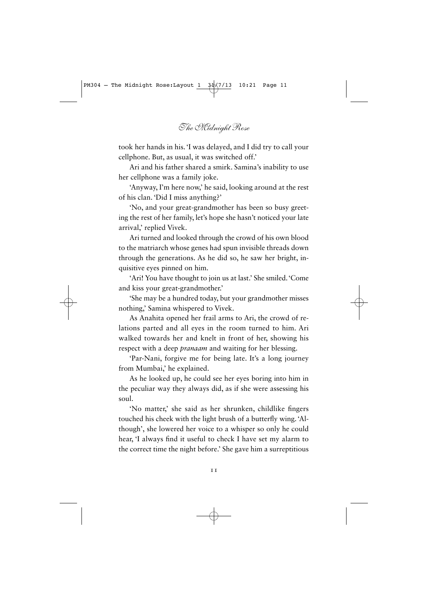took her hands in his. 'I was delayed, and I did try to call your cellphone. But, as usual, it was switched off.'

Ari and his father shared a smirk. Samina's inability to use her cellphone was a family joke.

'Anyway, I'm here now,' he said, looking around at the rest of his clan. 'Did I miss anything?'

'No, and your great-grandmother has been so busy greeting the rest of her family, let's hope she hasn't noticed your late arrival,' replied Vivek.

Ari turned and looked through the crowd of his own blood to the matriarch whose genes had spun invisible threads down through the generations. As he did so, he saw her bright, inquisitive eyes pinned on him.

'Ari! You have thought to join us at last.' She smiled. 'Come and kiss your great-grandmother.'

'She may be a hundred today, but your grandmother misses nothing,' Samina whispered to Vivek.

As Anahita opened her frail arms to Ari, the crowd of relations parted and all eyes in the room turned to him. Ari walked towards her and knelt in front of her, showing his respect with a deep *pranaam* and waiting for her blessing.

'Par-Nani, forgive me for being late. It's a long journey from Mumbai,' he explained.

As he looked up, he could see her eyes boring into him in the peculiar way they always did, as if she were assessing his soul.

'No matter,' she said as her shrunken, childlike fingers touched his cheek with the light brush of a butterfly wing. 'Although', she lowered her voice to a whisper so only he could hear, 'I always find it useful to check I have set my alarm to the correct time the night before.' She gave him a surreptitious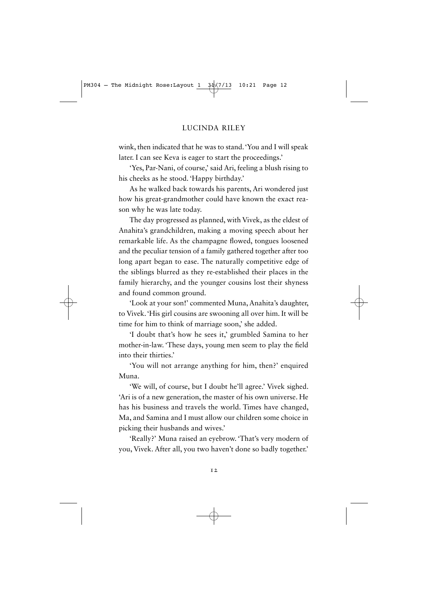wink, then indicated that he was to stand. 'You and I will speak later. I can see Keva is eager to start the proceedings.'

'Yes, Par-Nani, of course,' said Ari, feeling a blush rising to his cheeks as he stood. 'Happy birthday.'

As he walked back towards his parents, Ari wondered just how his great-grandmother could have known the exact reason why he was late today.

The day progressed as planned, with Vivek, as the eldest of Anahita's grandchildren, making a moving speech about her remarkable life. As the champagne flowed, tongues loosened and the peculiar tension of a family gathered together after too long apart began to ease. The naturally competitive edge of the siblings blurred as they re-established their places in the family hierarchy, and the younger cousins lost their shyness and found common ground.

'Look at your son!' commented Muna, Anahita's daughter, to Vivek. 'His girl cousins are swooning all over him. It will be time for him to think of marriage soon,' she added.

'I doubt that's how he sees it,' grumbled Samina to her mother-in-law. 'These days, young men seem to play the field into their thirties.'

'You will not arrange anything for him, then?' enquired Muna.

'We will, of course, but I doubt he'll agree.' Vivek sighed. 'Ari is of a new generation, the master of his own universe. He has his business and travels the world. Times have changed, Ma, and Samina and I must allow our children some choice in picking their husbands and wives.'

'Really?' Muna raised an eyebrow. 'That's very modern of you, Vivek. After all, you two haven't done so badly together.'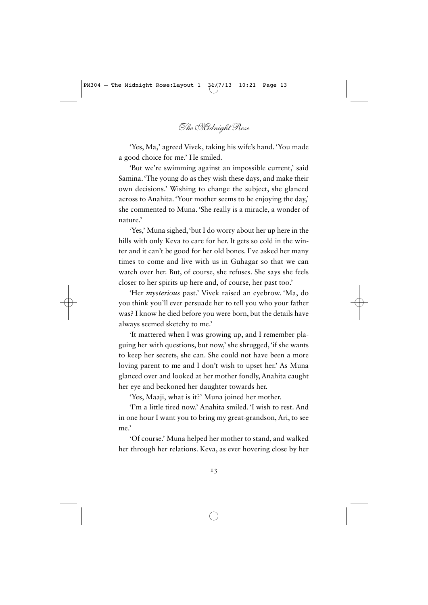'Yes, Ma,' agreed Vivek, taking his wife's hand. 'You made a good choice for me.' He smiled.

'But we're swimming against an impossible current,' said Samina. 'The young do as they wish these days, and make their own decisions.' Wishing to change the subject, she glanced across to Anahita. 'Your mother seems to be enjoying the day,' she commented to Muna. 'She really is a miracle, a wonder of nature.'

'Yes,' Muna sighed, 'but I do worry about her up here in the hills with only Keva to care for her. It gets so cold in the winter and it can't be good for her old bones. I've asked her many times to come and live with us in Guhagar so that we can watch over her. But, of course, she refuses. She says she feels closer to her spirits up here and, of course, her past too.'

'Her *mysterious* past.' Vivek raised an eyebrow. 'Ma, do you think you'll ever persuade her to tell you who your father was? I know he died before you were born, but the details have always seemed sketchy to me.'

'It mattered when I was growing up, and I remember pla guing her with questions, but now,' she shrugged, 'if she wants to keep her secrets, she can. She could not have been a more loving parent to me and I don't wish to upset her.' As Muna glanced over and looked at her mother fondly, Anahita caught her eye and beckoned her daughter towards her.

'Yes, Maaji, what is it?' Muna joined her mother.

'I'm a little tired now.' Anahita smiled. 'I wish to rest. And in one hour I want you to bring my great-grandson, Ari, to see me.'

'Of course.' Muna helped her mother to stand, and walked her through her relations. Keva, as ever hovering close by her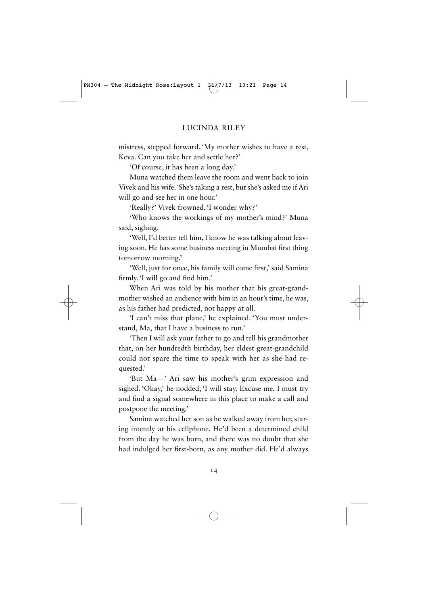mistress, stepped forward. 'My mother wishes to have a rest, Keva. Can you take her and settle her?'

'Of course, it has been a long day.'

Muna watched them leave the room and went back to join Vivek and his wife. 'She's taking a rest, but she's asked me if Ari will go and see her in one hour.'

'Really?' Vivek frowned. 'I wonder why?'

'Who knows the workings of my mother's mind?' Muna said, sighing.

'Well, I'd better tell him, I know he was talking about leaving soon. He has some business meeting in Mumbai first thing tomorrow morning.'

'Well, just for once, his family will come first,' said Samina firmly. 'I will go and find him.'

When Ari was told by his mother that his great-grandmother wished an audience with him in an hour's time, he was, as his father had predicted, not happy at all.

'I can't miss that plane,' he explained. 'You must understand, Ma, that I have a business to run.'

'Then I will ask your father to go and tell his grandmother that, on her hundredth birthday, her eldest great-grandchild could not spare the time to speak with her as she had requested.'

'But Ma—' Ari saw his mother's grim expression and sighed. 'Okay,' he nodded, 'I will stay. Excuse me, I must try and find a signal somewhere in this place to make a call and postpone the meeting.'

Samina watched her son as he walked away from her, staring intently at his cellphone. He'd been a determined child from the day he was born, and there was no doubt that she had indulged her first-born, as any mother did. He'd always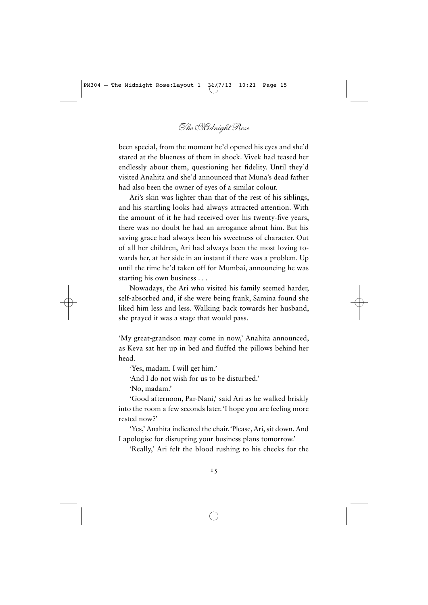been special, from the moment he'd opened his eyes and she'd stared at the blueness of them in shock. Vivek had teased her endlessly about them, questioning her fidelity. Until they'd visited Anahita and she'd announced that Muna's dead father had also been the owner of eyes of a similar colour.

Ari's skin was lighter than that of the rest of his siblings, and his startling looks had always attracted attention. With the amount of it he had received over his twenty-five years, there was no doubt he had an arrogance about him. But his saving grace had always been his sweetness of character. Out of all her children, Ari had always been the most loving towards her, at her side in an instant if there was a problem. Up until the time he'd taken off for Mumbai, announcing he was starting his own business . . .

Nowadays, the Ari who visited his family seemed harder, self-absorbed and, if she were being frank, Samina found she liked him less and less. Walking back towards her husband, she prayed it was a stage that would pass.

'My great-grandson may come in now,' Anahita announced, as Keva sat her up in bed and fluffed the pillows behind her head.

'Yes, madam. I will get him.'

'And I do not wish for us to be disturbed.'

'No, madam.'

'Good afternoon, Par-Nani,' said Ari as he walked briskly into the room a few seconds later. 'I hope you are feeling more rested now?'

'Yes,' Anahita indicated the chair. 'Please, Ari, sit down. And I apologise for disrupting your business plans tomorrow.'

'Really,' Ari felt the blood rushing to his cheeks for the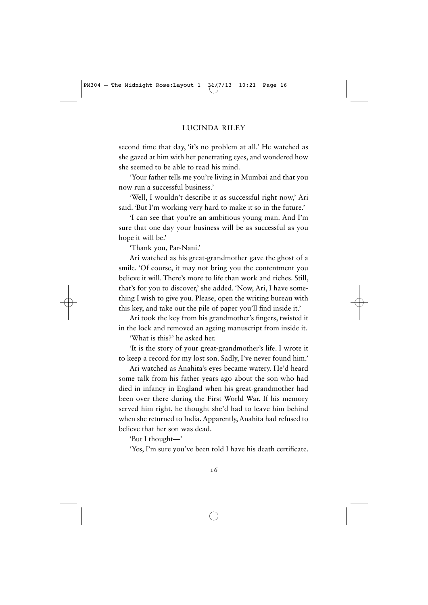second time that day, 'it's no problem at all.' He watched as she gazed at him with her penetrating eyes, and wondered how she seemed to be able to read his mind.

'Your father tells me you're living in Mumbai and that you now run a successful business.'

'Well, I wouldn't describe it as successful right now,' Ari said. 'But I'm working very hard to make it so in the future.'

'I can see that you're an ambitious young man. And I'm sure that one day your business will be as successful as you hope it will be.'

'Thank you, Par-Nani.'

Ari watched as his great-grandmother gave the ghost of a smile. 'Of course, it may not bring you the contentment you believe it will. There's more to life than work and riches. Still, that's for you to discover,' she added. 'Now, Ari, I have something I wish to give you. Please, open the writing bureau with this key, and take out the pile of paper you'll find inside it.'

Ari took the key from his grandmother's fingers, twisted it in the lock and removed an ageing manuscript from inside it.

'What is this?' he asked her.

'It is the story of your great-grandmother's life. I wrote it to keep a record for my lost son. Sadly, I've never found him.'

Ari watched as Anahita's eyes became watery. He'd heard some talk from his father years ago about the son who had died in infancy in England when his great-grandmother had been over there during the First World War. If his memory served him right, he thought she'd had to leave him behind when she returned to India. Apparently, Anahita had refused to believe that her son was dead.

'But I thought—'

'Yes, I'm sure you've been told I have his death certificate.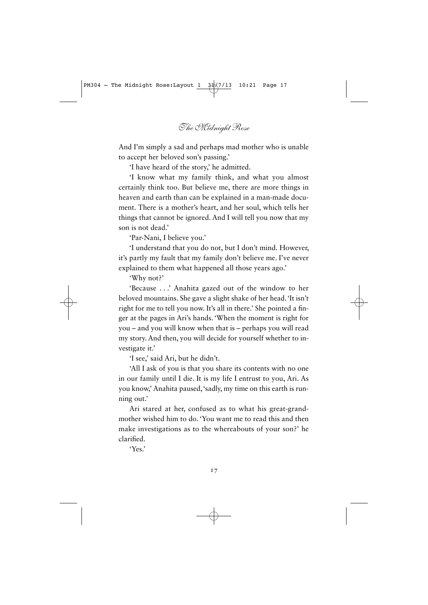And I'm simply a sad and perhaps mad mother who is unable to accept her beloved son's passing.'

'I have heard of the story,' he admitted.

'I know what my family think, and what you almost certainly think too. But believe me, there are more things in heaven and earth than can be explained in a man-made document. There is a mother's heart, and her soul, which tells her things that cannot be ignored. And I will tell you now that my son is not dead.'

'Par-Nani, I believe you.'

'I understand that you do not, but I don't mind. However, it's partly my fault that my family don't believe me. I've never explained to them what happened all those years ago.'

'Why not?'

'Because . . .' Anahita gazed out of the window to her beloved mountains. She gave a slight shake of her head. 'It isn't right for me to tell you now. It's all in there.' She pointed a finger at the pages in Ari's hands. 'When the moment is right for you – and you will know when that is – perhaps you will read my story. And then, you will decide for yourself whether to investigate it.'

'I see,' said Ari, but he didn't.

'All I ask of you is that you share its contents with no one in our family until I die. It is my life I entrust to you, Ari. As you know,' Anahita paused, 'sadly, my time on this earth is running out.'

Ari stared at her, confused as to what his great-grandmother wished him to do. 'You want me to read this and then make investigations as to the whereabouts of your son?' he clarified.

'Yes.'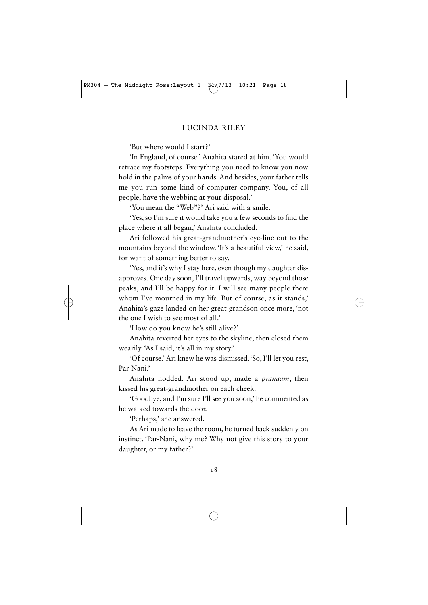'But where would I start?'

'In England, of course.' Anahita stared at him. 'You would retrace my footsteps. Everything you need to know you now hold in the palms of your hands. And besides, your father tells me you run some kind of computer company. You, of all people, have the webbing at your disposal.'

'You mean the "Web"?' Ari said with a smile.

'Yes, so I'm sure it would take you a few seconds to find the place where it all began,' Anahita concluded.

Ari followed his great-grandmother's eye-line out to the mountains beyond the window. 'It's a beautiful view,' he said, for want of something better to say.

'Yes, and it's why I stay here, even though my daughter disapproves. One day soon, I'll travel upwards, way beyond those peaks, and I'll be happy for it. I will see many people there whom I've mourned in my life. But of course, as it stands,' Anahita's gaze landed on her great-grandson once more, 'not the one I wish to see most of all.'

'How do you know he's still alive?'

Anahita reverted her eyes to the skyline, then closed them wearily. 'As I said, it's all in my story.'

'Of course.' Ari knew he was dismissed. 'So, I'll let you rest, Par-Nani.'

Anahita nodded. Ari stood up, made a *pranaam*, then kissed his great-grandmother on each cheek.

'Goodbye, and I'm sure I'll see you soon,' he commented as he walked towards the door.

'Perhaps,' she answered.

As Ari made to leave the room, he turned back suddenly on instinct. 'Par-Nani, why me? Why not give this story to your daughter, or my father?'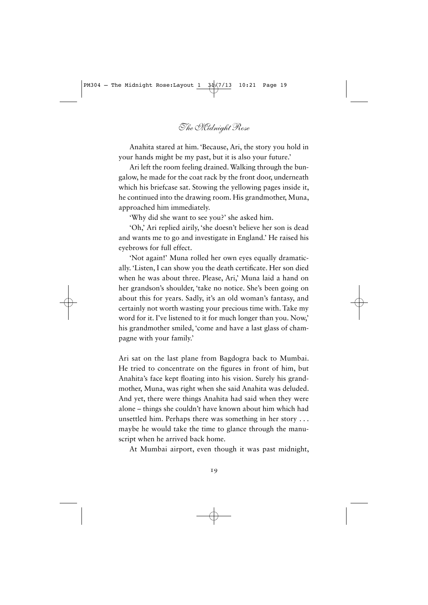Anahita stared at him. 'Because, Ari, the story you hold in your hands might be my past, but it is also your future.'

Ari left the room feeling drained. Walking through the bungalow, he made for the coat rack by the front door, underneath which his briefcase sat. Stowing the yellowing pages inside it, he continued into the drawing room. His grandmother, Muna, approached him immediately.

'Why did she want to see you?' she asked him.

'Oh,' Ari replied airily, 'she doesn't believe her son is dead and wants me to go and investigate in England.' He raised his eyebrows for full effect.

'Not again!' Muna rolled her own eyes equally dramatically. 'Listen, I can show you the death certificate. Her son died when he was about three. Please, Ari,' Muna laid a hand on her grandson's shoulder, 'take no notice. She's been going on about this for years. Sadly, it's an old woman's fantasy, and certainly not worth wasting your precious time with. Take my word for it. I've listened to it for much longer than you. Now,' his grandmother smiled, 'come and have a last glass of champagne with your family.'

Ari sat on the last plane from Bagdogra back to Mumbai. He tried to concentrate on the figures in front of him, but Anahita's face kept floating into his vision. Surely his grandmother, Muna, was right when she said Anahita was deluded. And yet, there were things Anahita had said when they were alone – things she couldn't have known about him which had unsettled him. Perhaps there was something in her story . . . maybe he would take the time to glance through the manuscript when he arrived back home.

At Mumbai airport, even though it was past midnight,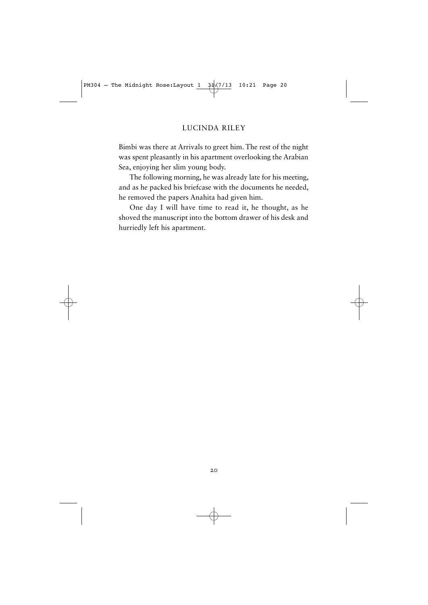Bimbi was there at Arrivals to greet him. The rest of the night was spent pleasantly in his apartment overlooking the Arabian Sea, enjoying her slim young body.

The following morning, he was already late for his meeting, and as he packed his briefcase with the documents he needed, he removed the papers Anahita had given him.

One day I will have time to read it, he thought, as he shoved the manuscript into the bottom drawer of his desk and hurriedly left his apartment.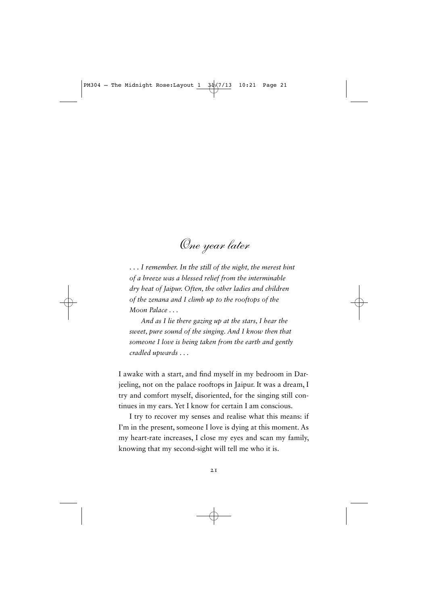*One year later*

. . . *I remember. In the still of the night, the merest hint of a breeze was a blessed relief from the interminable dry heat of Jaipur. Often, the other ladies and children of the zenana and I climb up to the rooftops of the Moon Palace . . .*

*And as I lie there gazing up at the stars, I hear the sweet, pure sound of the singing. And I know then that someone I love is being taken from the earth and gently cradled upwards . . .* 

I awake with a start, and find myself in my bedroom in Darjeeling, not on the palace rooftops in Jaipur. It was a dream, I try and comfort myself, disoriented, for the singing still continues in my ears. Yet I know for certain I am conscious.

I try to recover my senses and realise what this means: if I'm in the present, someone I love is dying at this moment. As my heart-rate increases, I close my eyes and scan my family, knowing that my second-sight will tell me who it is.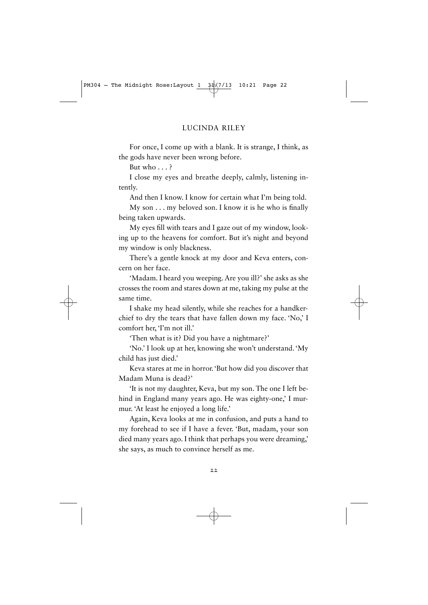For once, I come up with a blank. It is strange, I think, as the gods have never been wrong before.

But who  $\ldots$  ?

I close my eyes and breathe deeply, calmly, listening intently.

And then I know. I know for certain what I'm being told.

My son  $\dots$  my beloved son. I know it is he who is finally being taken upwards.

My eyes fill with tears and I gaze out of my window, looking up to the heavens for comfort. But it's night and beyond my window is only blackness.

There's a gentle knock at my door and Keva enters, concern on her face.

'Madam. I heard you weeping. Are you ill?' she asks as she crosses the room and stares down at me, taking my pulse at the same time.

I shake my head silently, while she reaches for a handkerchief to dry the tears that have fallen down my face. 'No,' I comfort her, 'I'm not ill.'

'Then what is it? Did you have a nightmare?'

'No.' I look up at her, knowing she won't understand. 'My child has just died.'

Keva stares at me in horror. 'But how did you discover that Madam Muna is dead?'

'It is not my daughter, Keva, but my son. The one I left behind in England many years ago. He was eighty-one,' I murmur. 'At least he enjoyed a long life.'

Again, Keva looks at me in confusion, and puts a hand to my forehead to see if I have a fever. 'But, madam, your son died many years ago. I think that perhaps you were dreaming,' she says, as much to convince herself as me.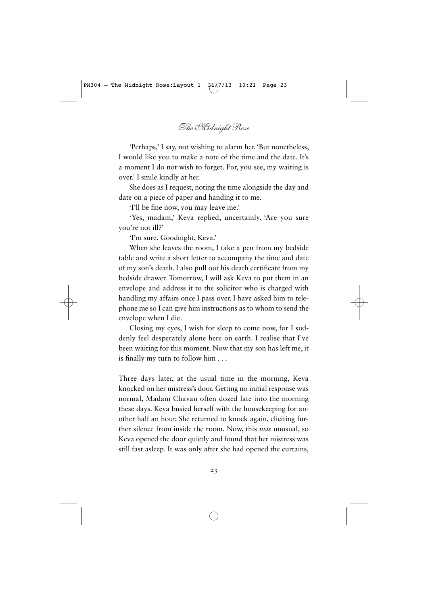'Perhaps,' I say, not wishing to alarm her. 'But nonetheless, I would like you to make a note of the time and the date. It's a moment I do not wish to forget. For, you see, my waiting is over.' I smile kindly at her.

She does as I request, noting the time alongside the day and date on a piece of paper and handing it to me.

'I'll be fine now, you may leave me.'

'Yes, madam,' Keva replied, uncertainly. 'Are you sure you're not ill?'

'I'm sure. Goodnight, Keva.'

When she leaves the room, I take a pen from my bedside table and write a short letter to accompany the time and date of my son's death. I also pull out his death certificate from my bedside drawer. Tomorrow, I will ask Keva to put them in an envelope and address it to the solicitor who is charged with handling my affairs once I pass over. I have asked him to telephone me so I can give him instructions as to whom to send the envelope when I die.

Closing my eyes, I wish for sleep to come now, for I suddenly feel desperately alone here on earth. I realise that I've been waiting for this moment. Now that my son has left me, it is finally my turn to follow him . . .

Three days later, at the usual time in the morning, Keva knocked on her mistress's door. Getting no initial response was normal, Madam Chavan often dozed late into the morning these days. Keva busied herself with the housekeeping for another half an hour. She returned to knock again, eliciting further silence from inside the room. Now, this *was* unusual, so Keva opened the door quietly and found that her mistress was still fast asleep. It was only after she had opened the curtains,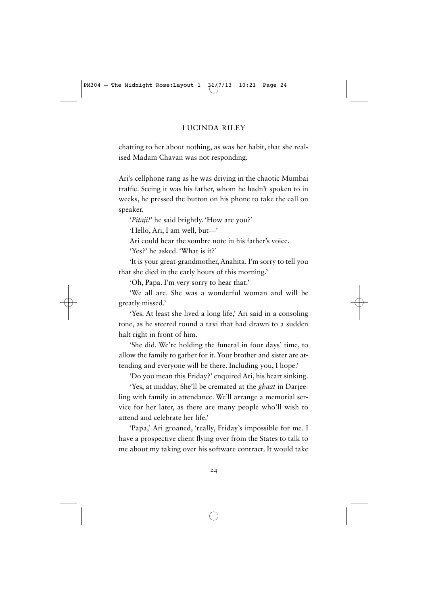chatting to her about nothing, as was her habit, that she realised Madam Chavan was not responding.

Ari's cellphone rang as he was driving in the chaotic Mumbai traffic. Seeing it was his father, whom he hadn't spoken to in weeks, he pressed the button on his phone to take the call on speaker.

'*Pitaji!*' he said brightly. 'How are you?'

'Hello, Ari, I am well, but—'

Ari could hear the sombre note in his father's voice.

'Yes?' he asked. 'What is it?'

'It is your great-grandmother, Anahita. I'm sorry to tell you that she died in the early hours of this morning.'

'Oh, Papa. I'm very sorry to hear that.'

'We all are. She was a wonderful woman and will be greatly missed.'

'Yes. At least she lived a long life,' Ari said in a consoling tone, as he steered round a taxi that had drawn to a sudden halt right in front of him.

'She did. We're holding the funeral in four days' time, to allow the family to gather for it. Your brother and sister are attending and everyone will be there. Including you, I hope.'

'Do you mean this Friday?' enquired Ari, his heart sinking.

'Yes, at midday. She'll be cremated at the *ghaat* in Darjeeling with family in attendance. We'll arrange a memorial service for her later, as there are many people who'll wish to attend and celebrate her life.'

'Papa,' Ari groaned, 'really, Friday's impossible for me. I have a prospective client flying over from the States to talk to me about my taking over his software contract. It would take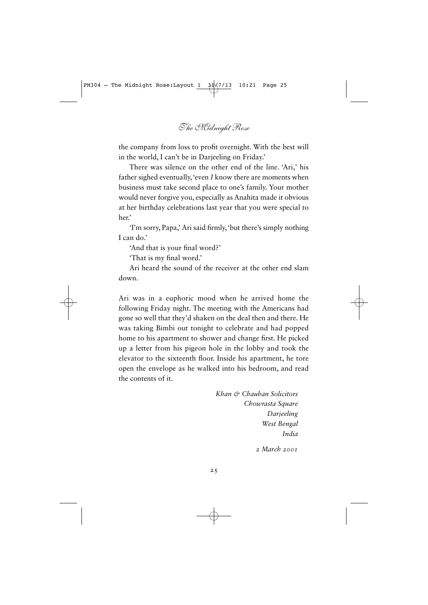the company from loss to profit overnight. With the best will in the world, I can't be in Darjeeling on Friday.'

There was silence on the other end of the line. 'Ari,' his father sighed eventually, 'even *I* know there are moments when business must take second place to one's family. Your mother would never forgive you, especially as Anahita made it obvious at her birthday celebrations last year that you were special to her.'

'I'm sorry, Papa,' Ari said firmly, 'but there's simply nothing I can do.'

'And that is your final word?'

'That is my final word.'

Ari heard the sound of the receiver at the other end slam down.

Ari was in a euphoric mood when he arrived home the following Friday night. The meeting with the Americans had gone so well that they'd shaken on the deal then and there. He was taking Bimbi out tonight to celebrate and had popped home to his apartment to shower and change first. He picked up a letter from his pigeon hole in the lobby and took the elevator to the sixteenth floor. Inside his apartment, he tore open the envelope as he walked into his bedroom, and read the contents of it.

> *Khan & Chauhan Solicitors Chowrasta Square Darjeeling West Bengal India 2 March 2001*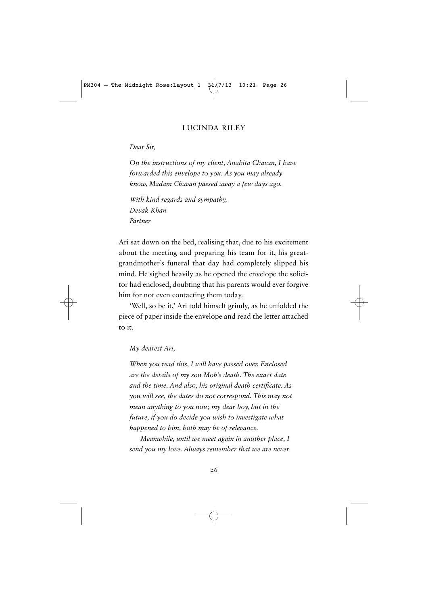#### *Dear Sir,*

*On the instructions of my client, Anahita Chavan, I have forwarded this envelope to you. As you may already know, Madam Chavan passed away a few days ago.*

*With kind regards and sympathy, Devak Khan Partner*

Ari sat down on the bed, realising that, due to his excitement about the meeting and preparing his team for it, his greatgrandmother's funeral that day had completely slipped his mind. He sighed heavily as he opened the envelope the solicitor had enclosed, doubting that his parents would ever forgive him for not even contacting them today.

'Well, so be it,' Ari told himself grimly, as he unfolded the piece of paper inside the envelope and read the letter attached to it.

#### *My dearest Ari,*

*When you read this, I will have passed over. Enclosed are the details of my son Moh's death. The exact date and the time. And also, his original death certificate. As you will see, the dates do not correspond. This may not mean anything to you now, my dear boy, but in the future, if you do decide you wish to investigate what happened to him, both may be of relevance.*

*Meanwhile, until we meet again in another place, I send you my love. Always remember that we are never*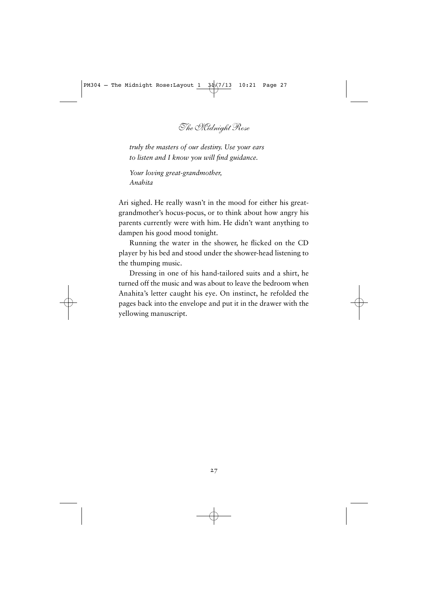*The Midnight Rose*

*truly the masters of our destiny. Use your ears to listen and I know you will find guidance.*

*Your loving great-grandmother, Anahita*

Ari sighed. He really wasn't in the mood for either his greatgrandmother's hocus-pocus, or to think about how angry his parents currently were with him. He didn't want anything to dampen his good mood tonight.

Running the water in the shower, he flicked on the CD player by his bed and stood under the shower-head listening to the thumping music.

Dressing in one of his hand-tailored suits and a shirt, he turned off the music and was about to leave the bedroom when Anahita's letter caught his eye. On instinct, he refolded the pages back into the envelope and put it in the drawer with the yellowing manuscript.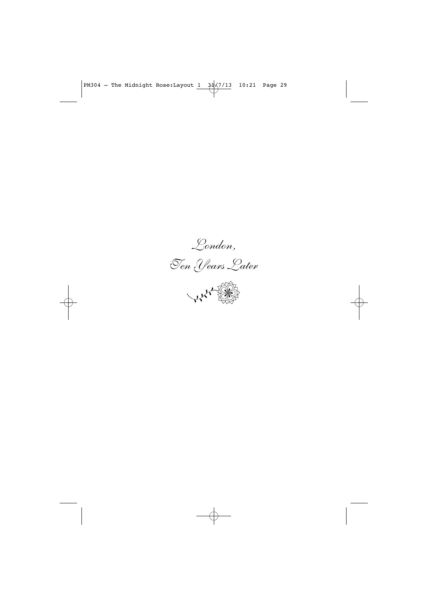*London,*

*Ten Years Later*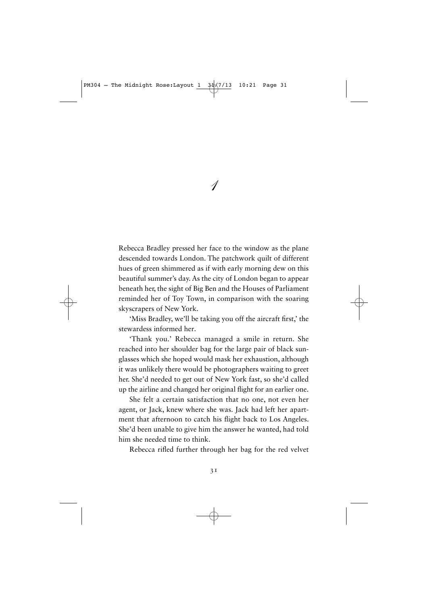*1*

Rebecca Bradley pressed her face to the window as the plane descended towards London. The patchwork quilt of different hues of green shimmered as if with early morning dew on this beautiful summer's day. As the city of London began to appear beneath her, the sight of Big Ben and the Houses of Parliament reminded her of Toy Town, in comparison with the soaring skyscrapers of New York.

'Miss Bradley, we'll be taking you off the aircraft first,' the stewardess informed her.

'Thank you.' Rebecca managed a smile in return. She reached into her shoulder bag for the large pair of black sunglasses which she hoped would mask her exhaustion, although it was unlikely there would be photographers waiting to greet her. She'd needed to get out of New York fast, so she'd called up the airline and changed her original flight for an earlier one.

She felt a certain satisfaction that no one, not even her agent, or Jack, knew where she was. Jack had left her apartment that afternoon to catch his flight back to Los Angeles. She'd been unable to give him the answer he wanted, had told him she needed time to think.

Rebecca rifled further through her bag for the red velvet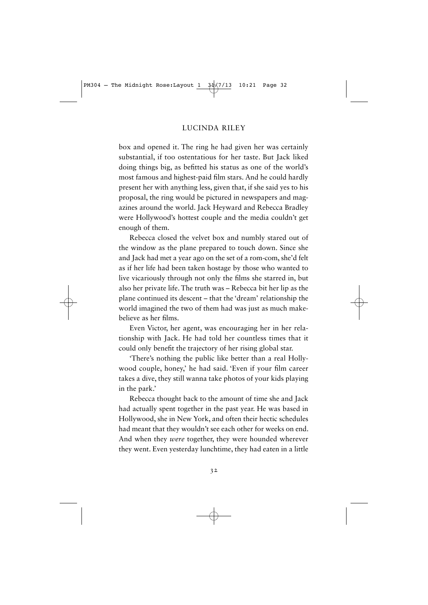box and opened it. The ring he had given her was certainly substantial, if too ostentatious for her taste. But Jack liked doing things big, as befitted his status as one of the world's most famous and highest-paid film stars. And he could hardly present her with anything less, given that, if she said yes to his proposal, the ring would be pictured in newspapers and magazines around the world. Jack Heyward and Rebecca Bradley were Hollywood's hottest couple and the media couldn't get enough of them.

Rebecca closed the velvet box and numbly stared out of the window as the plane prepared to touch down. Since she and Jack had met a year ago on the set of a rom-com, she'd felt as if her life had been taken hostage by those who wanted to live vicariously through not only the films she starred in, but also her private life. The truth was – Rebecca bit her lip as the plane continued its descent – that the 'dream' relationship the world imagined the two of them had was just as much makebelieve as her films.

Even Victor, her agent, was encouraging her in her relationship with Jack. He had told her countless times that it could only benefit the trajectory of her rising global star.

'There's nothing the public like better than a real Hollywood couple, honey,' he had said. 'Even if your film career takes a dive, they still wanna take photos of your kids playing in the park.'

Rebecca thought back to the amount of time she and Jack had actually spent together in the past year. He was based in Hollywood, she in New York, and often their hectic schedules had meant that they wouldn't see each other for weeks on end. And when they *were* together, they were hounded wherever they went. Even yesterday lunchtime, they had eaten in a little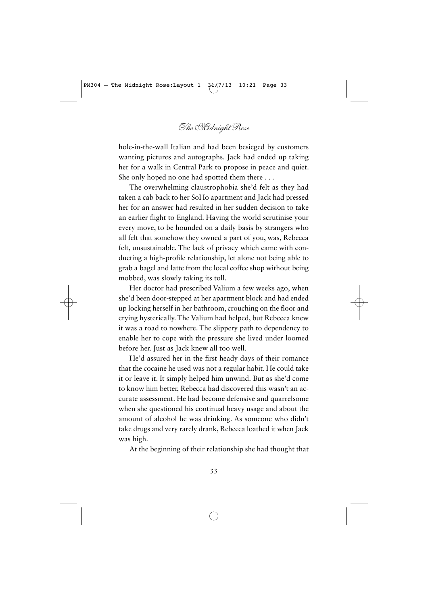hole-in-the-wall Italian and had been besieged by customers wanting pictures and autographs. Jack had ended up taking her for a walk in Central Park to propose in peace and quiet. She only hoped no one had spotted them there . . .

The overwhelming claustrophobia she'd felt as they had taken a cab back to her SoHo apartment and Jack had pressed her for an answer had resulted in her sudden decision to take an earlier flight to England. Having the world scrutinise your every move, to be hounded on a daily basis by strangers who all felt that somehow they owned a part of you, was, Rebecca felt, unsustainable. The lack of privacy which came with conducting a high-profile relationship, let alone not being able to grab a bagel and latte from the local coffee shop without being mobbed, was slowly taking its toll.

Her doctor had prescribed Valium a few weeks ago, when she'd been door-stepped at her apartment block and had ended up locking herself in her bathroom, crouching on the floor and crying hysterically. The Valium had helped, but Rebecca knew it was a road to nowhere. The slippery path to dependency to enable her to cope with the pressure she lived under loomed before her. Just as Jack knew all too well.

He'd assured her in the first heady days of their romance that the cocaine he used was not a regular habit. He could take it or leave it. It simply helped him unwind. But as she'd come to know him better, Rebecca had discovered this wasn't an accurate assessment. He had become defensive and quarrelsome when she questioned his continual heavy usage and about the amount of alcohol he was drinking. As someone who didn't take drugs and very rarely drank, Rebecca loathed it when Jack was high.

At the beginning of their relationship she had thought that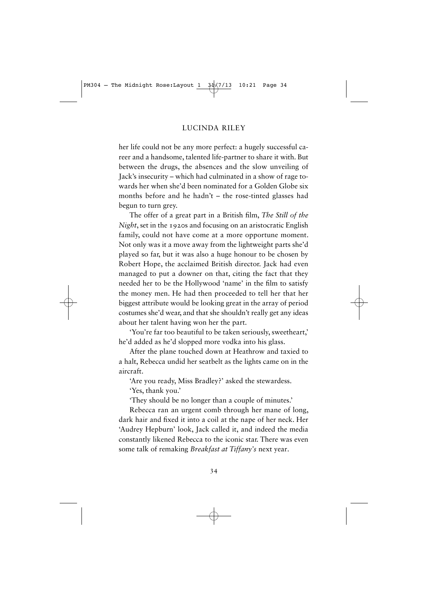her life could not be any more perfect: a hugely successful career and a handsome, talented life-partner to share it with. But between the drugs, the absences and the slow unveiling of Jack's insecurity – which had culminated in a show of rage towards her when she'd been nominated for a Golden Globe six months before and he hadn't – the rose-tinted glasses had begun to turn grey.

The offer of a great part in a British film, *The Still of the Night*, set in the 1920s and focusing on an aristocratic English family, could not have come at a more opportune moment. Not only was it a move away from the lightweight parts she'd played so far, but it was also a huge honour to be chosen by Robert Hope, the acclaimed British director. Jack had even managed to put a downer on that, citing the fact that they needed her to be the Hollywood 'name' in the film to satisfy the money men. He had then proceeded to tell her that her biggest attribute would be looking great in the array of period costumes she'd wear, and that she shouldn't really get any ideas about her talent having won her the part.

'You're far too beautiful to be taken seriously, sweetheart,' he'd added as he'd slopped more vodka into his glass.

After the plane touched down at Heathrow and taxied to a halt, Rebecca undid her seatbelt as the lights came on in the aircraft.

'Are you ready, Miss Bradley?' asked the stewardess.

'Yes, thank you.'

'They should be no longer than a couple of minutes.'

Rebecca ran an urgent comb through her mane of long, dark hair and fixed it into a coil at the nape of her neck. Her 'Audrey Hepburn' look, Jack called it, and indeed the media constantly likened Rebecca to the iconic star. There was even some talk of remaking *Breakfast at Tiffany's* next year.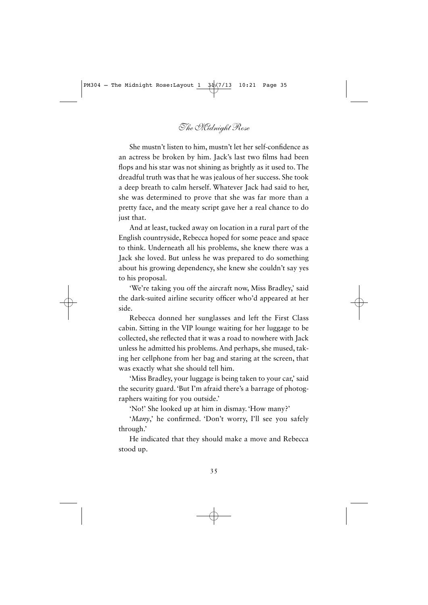She mustn't listen to him, mustn't let her self-confidence as an actress be broken by him. Jack's last two films had been flops and his star was not shining as brightly as it used to. The dreadful truth was that he was jealous of her success. She took a deep breath to calm herself. Whatever Jack had said to her, she was determined to prove that she was far more than a pretty face, and the meaty script gave her a real chance to do just that.

And at least, tucked away on location in a rural part of the English countryside, Rebecca hoped for some peace and space to think. Underneath all his problems, she knew there was a Jack she loved. But unless he was prepared to do something about his growing dependency, she knew she couldn't say yes to his proposal.

'We're taking you off the aircraft now, Miss Bradley,' said the dark-suited airline security officer who'd appeared at her side.

Rebecca donned her sunglasses and left the First Class cabin. Sitting in the VIP lounge waiting for her luggage to be collected, she reflected that it was a road to nowhere with Jack unless he admitted his problems. And perhaps, she mused, taking her cellphone from her bag and staring at the screen, that was exactly what she should tell him.

'Miss Bradley, your luggage is being taken to your car,' said the security guard. 'But I'm afraid there's a barrage of photographers waiting for you outside.'

'No!' She looked up at him in dismay. 'How many?'

'*Many*,' he confirmed. 'Don't worry, I'll see you safely through.'

He indicated that they should make a move and Rebecca stood up.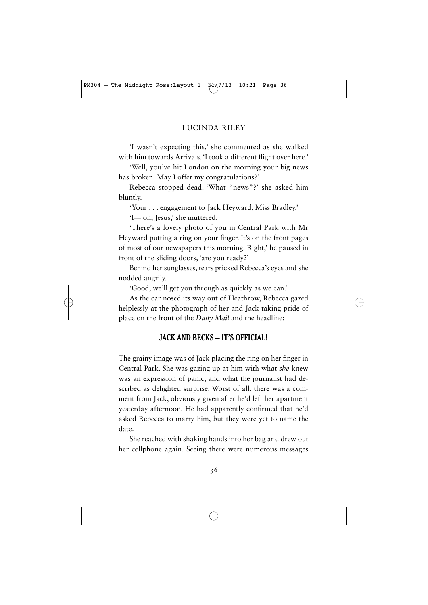'I wasn't expecting this,' she commented as she walked with him towards Arrivals. 'I took a different flight over here.'

'Well, you've hit London on the morning your big news has broken. May I offer my congratulations?'

Rebecca stopped dead. 'What "news"?' she asked him bluntly.

'Your . . . engagement to Jack Heyward, Miss Bradley.'

'I— oh, Jesus,' she muttered.

'There's a lovely photo of you in Central Park with Mr Heyward putting a ring on your finger. It's on the front pages of most of our newspapers this morning. Right,' he paused in front of the sliding doors, 'are you ready?'

Behind her sunglasses, tears pricked Rebecca's eyes and she nodded angrily.

'Good, we'll get you through as quickly as we can.'

As the car nosed its way out of Heathrow, Rebecca gazed helplessly at the photograph of her and Jack taking pride of place on the front of the *Daily Mail* and the headline:

#### **JACK AND BECKS – IT'S OFFICIAL!**

The grainy image was of Jack placing the ring on her finger in Central Park. She was gazing up at him with what *she* knew was an expression of panic, and what the journalist had described as delighted surprise. Worst of all, there was a comment from Jack, obviously given after he'd left her apartment yesterday afternoon. He had apparently confirmed that he'd asked Rebecca to marry him, but they were yet to name the date.

She reached with shaking hands into her bag and drew out her cellphone again. Seeing there were numerous messages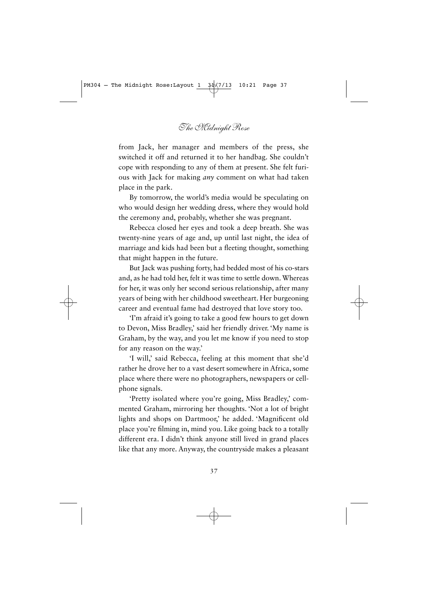from Jack, her manager and members of the press, she switched it off and returned it to her handbag. She couldn't cope with responding to any of them at present. She felt furious with Jack for making *any* comment on what had taken place in the park.

By tomorrow, the world's media would be speculating on who would design her wedding dress, where they would hold the ceremony and, probably, whether she was pregnant.

Rebecca closed her eyes and took a deep breath. She was twenty-nine years of age and, up until last night, the idea of marriage and kids had been but a fleeting thought, something that might happen in the future.

But Jack was pushing forty, had bedded most of his co-stars and, as he had told her, felt it was time to settle down. Whereas for her, it was only her second serious relationship, after many years of being with her childhood sweetheart. Her burgeoning career and eventual fame had destroyed that love story too.

'I'm afraid it's going to take a good few hours to get down to Devon, Miss Bradley,' said her friendly driver. 'My name is Graham, by the way, and you let me know if you need to stop for any reason on the way.'

'I will,' said Rebecca, feeling at this moment that she'd rather he drove her to a vast desert somewhere in Africa, some place where there were no photographers, newspapers or cellphone signals.

'Pretty isolated where you're going, Miss Bradley,' commented Graham, mirroring her thoughts. 'Not a lot of bright lights and shops on Dartmoor,' he added. 'Magnificent old place you're filming in, mind you. Like going back to a totally different era. I didn't think anyone still lived in grand places like that any more. Anyway, the countryside makes a pleasant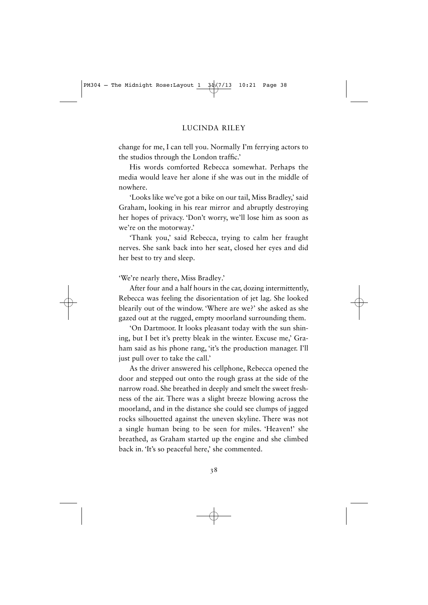change for me, I can tell you. Normally I'm ferrying actors to the studios through the London traffic.'

His words comforted Rebecca somewhat. Perhaps the media would leave her alone if she was out in the middle of nowhere.

'Looks like we've got a bike on our tail, Miss Bradley,' said Graham, looking in his rear mirror and abruptly destroying her hopes of privacy. 'Don't worry, we'll lose him as soon as we're on the motorway.'

'Thank you,' said Rebecca, trying to calm her fraught nerves. She sank back into her seat, closed her eyes and did her best to try and sleep.

'We're nearly there, Miss Bradley.'

After four and a half hours in the car, dozing intermittently, Rebecca was feeling the disorientation of jet lag. She looked blearily out of the window. 'Where are we?' she asked as she gazed out at the rugged, empty moorland surrounding them.

'On Dartmoor. It looks pleasant today with the sun shining, but I bet it's pretty bleak in the winter. Excuse me,' Graham said as his phone rang, 'it's the production manager. I'll just pull over to take the call.'

As the driver answered his cellphone, Rebecca opened the door and stepped out onto the rough grass at the side of the narrow road. She breathed in deeply and smelt the sweet freshness of the air. There was a slight breeze blowing across the moorland, and in the distance she could see clumps of jagged rocks silhouetted against the uneven skyline. There was not a single human being to be seen for miles. 'Heaven!' she breathed, as Graham started up the engine and she climbed back in. 'It's so peaceful here,' she commented.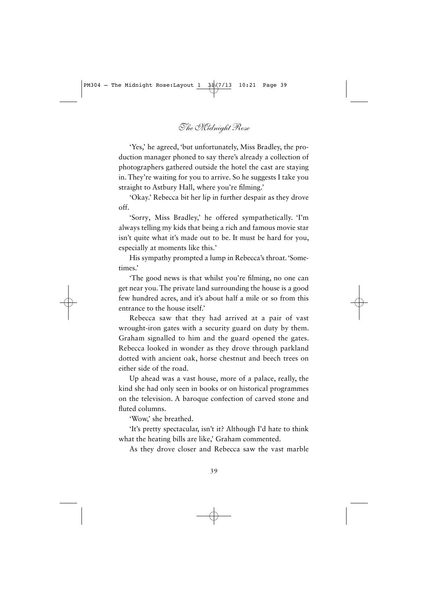'Yes,' he agreed, 'but unfortunately, Miss Bradley, the production manager phoned to say there's already a collection of photographers gathered outside the hotel the cast are staying in. They're waiting for you to arrive. So he suggests I take you straight to Astbury Hall, where you're filming.'

'Okay.' Rebecca bit her lip in further despair as they drove off.

'Sorry, Miss Bradley,' he offered sympathetically. 'I'm always telling my kids that being a rich and famous movie star isn't quite what it's made out to be. It must be hard for you, especially at moments like this.'

His sympathy prompted a lump in Rebecca's throat. 'Sometimes.'

'The good news is that whilst you're filming, no one can get near you. The private land surrounding the house is a good few hundred acres, and it's about half a mile or so from this entrance to the house itself.'

Rebecca saw that they had arrived at a pair of vast wrought-iron gates with a security guard on duty by them. Graham signalled to him and the guard opened the gates. Rebecca looked in wonder as they drove through parkland dotted with ancient oak, horse chestnut and beech trees on either side of the road.

Up ahead was a vast house, more of a palace, really, the kind she had only seen in books or on historical programmes on the television. A baroque confection of carved stone and fluted columns.

'Wow,' she breathed.

'It's pretty spectacular, isn't it? Although I'd hate to think what the heating bills are like,' Graham commented.

As they drove closer and Rebecca saw the vast marble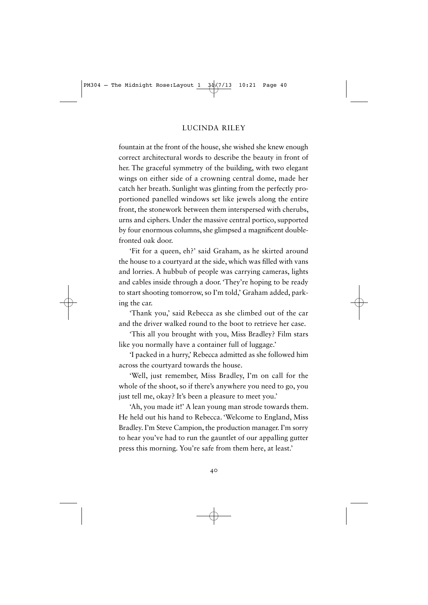fountain at the front of the house, she wished she knew enough correct architectural words to describe the beauty in front of her. The graceful symmetry of the building, with two elegant wings on either side of a crowning central dome, made her catch her breath. Sunlight was glinting from the perfectly proportioned panelled windows set like jewels along the entire front, the stonework between them interspersed with cherubs, urns and ciphers. Under the massive central portico, supported by four enormous columns, she glimpsed a magnificent doublefronted oak door.

'Fit for a queen, eh?' said Graham, as he skirted around the house to a courtyard at the side, which was filled with vans and lorries. A hubbub of people was carrying cameras, lights and cables inside through a door. 'They're hoping to be ready to start shooting tomorrow, so I'm told,' Graham added, parking the car.

'Thank you,' said Rebecca as she climbed out of the car and the driver walked round to the boot to retrieve her case.

'This all you brought with you, Miss Bradley? Film stars like you normally have a container full of luggage.'

'I packed in a hurry,' Rebecca admitted as she followed him across the courtyard towards the house.

'Well, just remember, Miss Bradley, I'm on call for the whole of the shoot, so if there's anywhere you need to go, you just tell me, okay? It's been a pleasure to meet you.'

'Ah, you made it!' A lean young man strode towards them. He held out his hand to Rebecca. 'Welcome to England, Miss Bradley. I'm Steve Campion, the production manager. I'm sorry to hear you've had to run the gauntlet of our appalling gutter press this morning. You're safe from them here, at least.'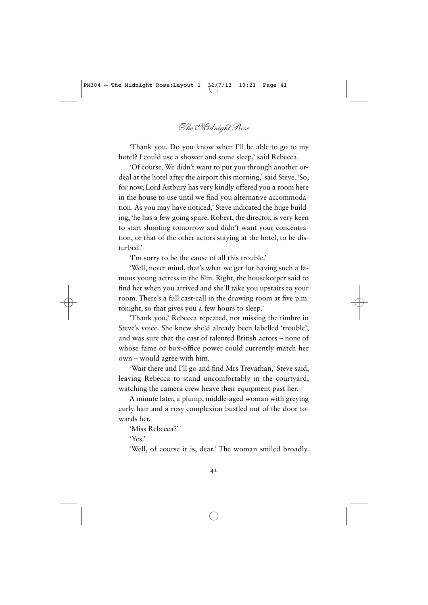'Thank you. Do you know when I'll be able to go to my hotel? I could use a shower and some sleep,' said Rebecca.

'Of course. We didn't want to put you through another ordeal at the hotel after the airport this morning,' said Steve. 'So, for now, Lord Astbury has very kindly offered you a room here in the house to use until we find you alternative accommodation. As you may have noticed,' Steve indicated the huge building, 'he has a few going spare. Robert, the director, is very keen to start shooting tomorrow and didn't want your concentration, or that of the other actors staying at the hotel, to be disturbed.'

'I'm sorry to be the cause of all this trouble.'

'Well, never mind, that's what we get for having such a famous young actress in the film. Right, the housekeeper said to find her when you arrived and she'll take you upstairs to your room. There's a full cast-call in the drawing room at five p.m. tonight, so that gives you a few hours to sleep.'

'Thank you,' Rebecca repeated, not missing the timbre in Steve's voice. She knew she'd already been labelled 'trouble', and was sure that the cast of talented British actors – none of whose fame or box-office power could currently match her own – would agree with him.

'Wait there and I'll go and find Mrs Trevathan,' Steve said, leaving Rebecca to stand uncomfortably in the courtyard, watching the camera crew heave their equipment past her.

A minute later, a plump, middle-aged woman with greying curly hair and a rosy complexion bustled out of the door towards her.

'Miss Rebecca?'

'Yes.'

'Well, of course it is, dear.' The woman smiled broadly.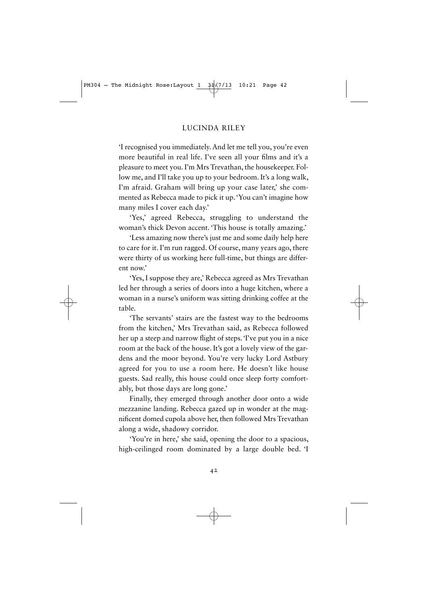'I recognised you immediately. And let me tell you, you're even more beautiful in real life. I've seen all your films and it's a pleasure to meet you. I'm Mrs Trevathan, the housekeeper. Follow me, and I'll take you up to your bedroom. It's a long walk, I'm afraid. Graham will bring up your case later,' she commented as Rebecca made to pick it up. 'You can't imagine how many miles I cover each day.'

'Yes,' agreed Rebecca, struggling to understand the woman's thick Devon accent. 'This house is totally amazing.'

'Less amazing now there's just me and some daily help here to care for it. I'm run ragged. Of course, many years ago, there were thirty of us working here full-time, but things are different now.'

'Yes, I suppose they are,' Rebecca agreed as Mrs Trevathan led her through a series of doors into a huge kitchen, where a woman in a nurse's uniform was sitting drinking coffee at the table.

'The servants' stairs are the fastest way to the bedrooms from the kitchen,' Mrs Trevathan said, as Rebecca followed her up a steep and narrow flight of steps. 'I've put you in a nice room at the back of the house. It's got a lovely view of the gardens and the moor beyond. You're very lucky Lord Astbury agreed for you to use a room here. He doesn't like house guests. Sad really, this house could once sleep forty comfortably, but those days are long gone.'

Finally, they emerged through another door onto a wide mezzanine landing. Rebecca gazed up in wonder at the magnificent domed cupola above her, then followed Mrs Trevathan along a wide, shadowy corridor.

'You're in here,' she said, opening the door to a spacious, high-ceilinged room dominated by a large double bed. 'I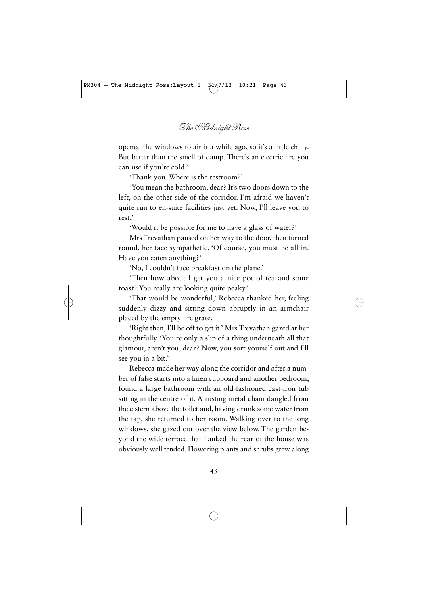opened the windows to air it a while ago, so it's a little chilly. But better than the smell of damp. There's an electric fire you can use if you're cold.'

'Thank you. Where is the restroom?'

'You mean the bathroom, dear? It's two doors down to the left, on the other side of the corridor. I'm afraid we haven't quite run to en-suite facilities just yet. Now, I'll leave you to rest.'

'Would it be possible for me to have a glass of water?'

Mrs Trevathan paused on her way to the door, then turned round, her face sympathetic. 'Of course, you must be all in. Have you eaten anything?'

'No, I couldn't face breakfast on the plane.'

'Then how about I get you a nice pot of tea and some toast? You really are looking quite peaky.'

'That would be wonderful,' Rebecca thanked her, feeling suddenly dizzy and sitting down abruptly in an armchair placed by the empty fire grate.

'Right then, I'll be off to get it.' Mrs Trevathan gazed at her thoughtfully. 'You're only a slip of a thing underneath all that glamour, aren't you, dear? Now, you sort yourself out and I'll see you in a bit.'

Rebecca made her way along the corridor and after a number of false starts into a linen cupboard and another bedroom, found a large bathroom with an old-fashioned cast-iron tub sitting in the centre of it. A rusting metal chain dangled from the cistern above the toilet and, having drunk some water from the tap, she returned to her room. Walking over to the long windows, she gazed out over the view below. The garden beyond the wide terrace that flanked the rear of the house was obviously well tended. Flowering plants and shrubs grew along